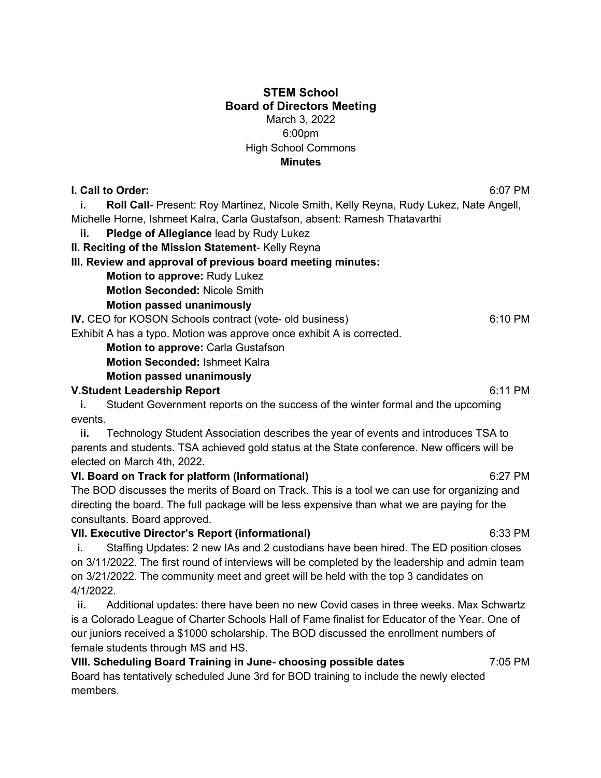## **STEM School Board of Directors Meeting** March 3, 2022 6:00pm High School Commons **Minutes**

**I. Call to Order:** 6:07 PM

**i.** Roll Call- Present: Roy Martinez, Nicole Smith, Kelly Reyna, Rudy Lukez, Nate Angell, Michelle Horne, Ishmeet Kalra, Carla Gustafson, absent: Ramesh Thatavarthi

 **ii. Pledge of Allegiance** lead by Rudy Lukez

**II. Reciting of the Mission Statement**- Kelly Reyna

**III. Review and approval of previous board meeting minutes:**

**Motion to approve:** Rudy Lukez

**Motion Seconded:** Nicole Smith

**Motion passed unanimously**

**IV.** CEO for KOSON Schools contract (vote- old business)6:10 PM

Exhibit A has a typo. Motion was approve once exhibit A is corrected.

**Motion to approve: Carla Gustafson** 

**Motion Seconded:** Ishmeet Kalra

## **Motion passed unanimously**

#### **V.Student Leadership Report** 6:11 PM

**i.** Student Government reports on the success of the winter formal and the upcoming events.

 **ii.** Technology Student Association describes the year of events and introduces TSA to parents and students. TSA achieved gold status at the State conference. New officers will be elected on March 4th, 2022.

## **VI. Board on Track for platform (Informational)** 6:27 PM

The BOD discusses the merits of Board on Track. This is a tool we can use for organizing and directing the board. The full package will be less expensive than what we are paying for the consultants. Board approved.

## **VII. Executive Director's Report (informational)** 6:33 PM

**i.** Staffing Updates: 2 new IAs and 2 custodians have been hired. The ED position closes on 3/11/2022. The first round of interviews will be completed by the leadership and admin team on 3/21/2022. The community meet and greet will be held with the top 3 candidates on 4/1/2022.

 **ii.** Additional updates: there have been no new Covid cases in three weeks. Max Schwartz is a Colorado League of Charter Schools Hall of Fame finalist for Educator of the Year. One of our juniors received a \$1000 scholarship. The BOD discussed the enrollment numbers of female students through MS and HS.

**VIII. Scheduling Board Training in June- choosing possible dates** 7:05 PM Board has tentatively scheduled June 3rd for BOD training to include the newly elected members.